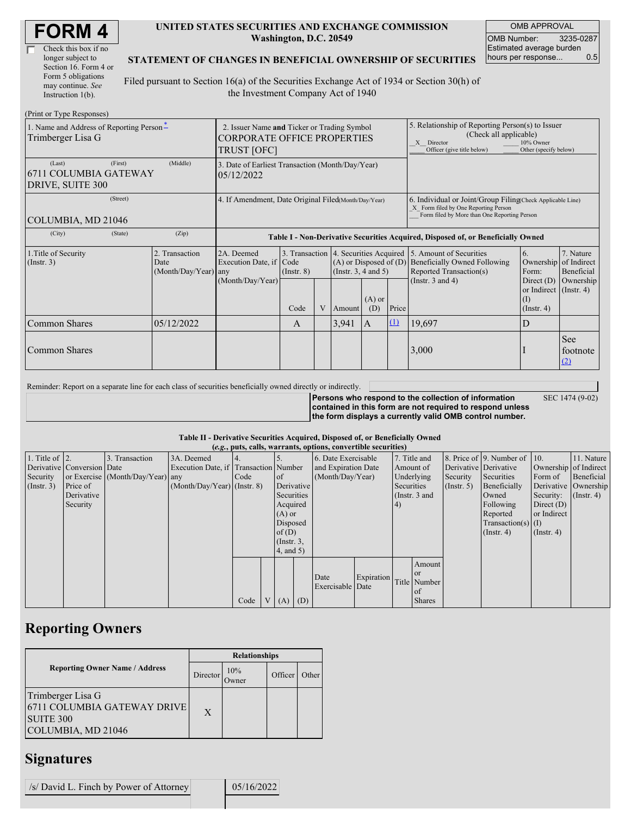| <b>FORM4</b> |
|--------------|
|--------------|

| Check this box if no  |
|-----------------------|
| longer subject to     |
| Section 16. Form 4 or |
| Form 5 obligations    |
| may continue. See     |
| Instruction 1(b).     |

#### **UNITED STATES SECURITIES AND EXCHANGE COMMISSION Washington, D.C. 20549**

OMB APPROVAL OMB Number: 3235-0287 Estimated average burden hours per response... 0.5

SEC 1474 (9-02)

### **STATEMENT OF CHANGES IN BENEFICIAL OWNERSHIP OF SECURITIES**

Filed pursuant to Section 16(a) of the Securities Exchange Act of 1934 or Section 30(h) of the Investment Company Act of 1940

| (Print or Type Responses)                                      |                                                                                                         |                                                                                  |                         |   |                                                    |                                                                                                                                                              |          |                                                                                                                                 |                                                                            |                                        |
|----------------------------------------------------------------|---------------------------------------------------------------------------------------------------------|----------------------------------------------------------------------------------|-------------------------|---|----------------------------------------------------|--------------------------------------------------------------------------------------------------------------------------------------------------------------|----------|---------------------------------------------------------------------------------------------------------------------------------|----------------------------------------------------------------------------|----------------------------------------|
| 1. Name and Address of Reporting Person-<br>Trimberger Lisa G  | 2. Issuer Name and Ticker or Trading Symbol<br><b>CORPORATE OFFICE PROPERTIES</b><br><b>TRUST [OFC]</b> |                                                                                  |                         |   |                                                    | 5. Relationship of Reporting Person(s) to Issuer<br>(Check all applicable)<br>X Director<br>10% Owner<br>Other (specify below)<br>Officer (give title below) |          |                                                                                                                                 |                                                                            |                                        |
| (First)<br>(Last)<br>6711 COLUMBIA GATEWAY<br>DRIVE, SUITE 300 | 3. Date of Earliest Transaction (Month/Day/Year)<br>05/12/2022                                          |                                                                                  |                         |   |                                                    |                                                                                                                                                              |          |                                                                                                                                 |                                                                            |                                        |
| (Street)<br>COLUMBIA, MD 21046                                 | 4. If Amendment, Date Original Filed(Month/Day/Year)                                                    |                                                                                  |                         |   |                                                    | 6. Individual or Joint/Group Filing(Check Applicable Line)<br>X Form filed by One Reporting Person<br>Form filed by More than One Reporting Person           |          |                                                                                                                                 |                                                                            |                                        |
| (City)<br>(State)                                              | (Zip)                                                                                                   | Table I - Non-Derivative Securities Acquired, Disposed of, or Beneficially Owned |                         |   |                                                    |                                                                                                                                                              |          |                                                                                                                                 |                                                                            |                                        |
| 1. Title of Security<br>$($ Instr. 3 $)$                       | 2. Transaction<br>Date<br>$(Month/Day/Year)$ any                                                        | 2A. Deemed<br>Execution Date, if                                                 | Code<br>$($ Instr. $8)$ |   | $(A)$ or Disposed of $(D)$<br>(Insert. 3, 4 and 5) |                                                                                                                                                              |          | 3. Transaction 4. Securities Acquired 5. Amount of Securities<br><b>Beneficially Owned Following</b><br>Reported Transaction(s) | 6.<br>Ownership<br>Form:                                                   | 7. Nature<br>of Indirect<br>Beneficial |
|                                                                |                                                                                                         | (Month/Day/Year)                                                                 | Code                    | V | Amount                                             | $(A)$ or<br>(D)                                                                                                                                              | Price    | (Instr. $3$ and $4$ )                                                                                                           | Direct $(D)$<br>or Indirect $($ Instr. 4 $)$<br>$($ I)<br>$($ Instr. 4 $)$ | Ownership                              |
| <b>Common Shares</b>                                           | 05/12/2022                                                                                              |                                                                                  | A                       |   | 3,941                                              | <sup>1</sup> A                                                                                                                                               | $\Omega$ | 19,697                                                                                                                          | D                                                                          |                                        |
| <b>Common Shares</b>                                           |                                                                                                         |                                                                                  |                         |   |                                                    |                                                                                                                                                              |          | 3,000                                                                                                                           |                                                                            | <b>See</b><br>footnote<br>(2)          |

Reminder: Report on a separate line for each class of securities beneficially owned directly or indirectly.

**Persons who respond to the collection of information contained in this form are not required to respond unless the form displays a currently valid OMB control number.**

**Table II - Derivative Securities Acquired, Disposed of, or Beneficially Owned**

|                        |                            |                                  |                                       |      |          |                 |     | (e.g., puts, calls, warrants, options, convertible securities) |            |              |                 |                       |                          |                       |                      |
|------------------------|----------------------------|----------------------------------|---------------------------------------|------|----------|-----------------|-----|----------------------------------------------------------------|------------|--------------|-----------------|-----------------------|--------------------------|-----------------------|----------------------|
| 1. Title of $\vert$ 2. |                            | 3. Transaction                   | 3A. Deemed                            |      |          |                 |     | 6. Date Exercisable                                            |            | 7. Title and |                 |                       | 8. Price of 9. Number of | $\vert$ 10.           | 11. Nature           |
|                        | Derivative Conversion Date |                                  | Execution Date, if Transaction Number |      |          |                 |     | and Expiration Date                                            |            | Amount of    |                 | Derivative Derivative |                          | Ownership of Indirect |                      |
| Security               |                            | or Exercise (Month/Day/Year) any |                                       | Code |          | <sub>of</sub>   |     | (Month/Day/Year)                                               |            |              | Underlying      | Security              | Securities               | Form of               | Beneficial           |
| $($ Instr. 3 $)$       | Price of                   |                                  | $(Month/Day/Year)$ (Instr. 8)         |      |          | Derivative      |     |                                                                |            | Securities   |                 | $($ Instr. 5 $)$      | Beneficially             |                       | Derivative Ownership |
|                        | Derivative                 |                                  |                                       |      |          | Securities      |     |                                                                |            |              | (Instr. $3$ and |                       | Owned                    | Security:             | $($ Instr. 4 $)$     |
|                        | Security                   |                                  |                                       |      |          | Acquired        |     |                                                                |            | 4)           |                 |                       | Following                | Direct $(D)$          |                      |
|                        |                            |                                  |                                       |      |          | $(A)$ or        |     |                                                                |            |              |                 |                       | Reported                 | or Indirect           |                      |
|                        |                            |                                  |                                       |      | Disposed |                 |     |                                                                |            |              |                 |                       | $Transaction(s)$ (I)     |                       |                      |
|                        |                            |                                  |                                       |      | of $(D)$ |                 |     |                                                                |            |              |                 |                       | $($ Instr. 4 $)$         | $($ Instr. 4 $)$      |                      |
|                        |                            |                                  |                                       |      |          | $($ Instr. $3,$ |     |                                                                |            |              |                 |                       |                          |                       |                      |
|                        |                            |                                  |                                       |      |          | $4$ , and 5)    |     |                                                                |            |              |                 |                       |                          |                       |                      |
|                        |                            |                                  |                                       |      |          |                 |     |                                                                |            |              | Amount          |                       |                          |                       |                      |
|                        |                            |                                  |                                       |      |          |                 |     |                                                                |            |              | <b>or</b>       |                       |                          |                       |                      |
|                        |                            |                                  |                                       |      |          |                 |     | Date<br>Exercisable Date                                       | Expiration |              | Title Number    |                       |                          |                       |                      |
|                        |                            |                                  |                                       |      |          |                 |     |                                                                |            |              | <sub>of</sub>   |                       |                          |                       |                      |
|                        |                            |                                  |                                       | Code |          | V(A)            | (D) |                                                                |            |              | <b>Shares</b>   |                       |                          |                       |                      |

## **Reporting Owners**

|                                                                                              | <b>Relationships</b> |               |         |       |  |  |  |
|----------------------------------------------------------------------------------------------|----------------------|---------------|---------|-------|--|--|--|
| <b>Reporting Owner Name / Address</b>                                                        | Director             | 10%<br>Owner) | Officer | Other |  |  |  |
| Trimberger Lisa G<br>[6711 COLUMBIA GATEWAY DRIVE]<br><b>SUITE 300</b><br>COLUMBIA, MD 21046 | $\mathbf{X}$         |               |         |       |  |  |  |

### **Signatures**

 $/$ s/ David L. Finch by Power of Attorney

| 05/16/2022 |
|------------|
|            |